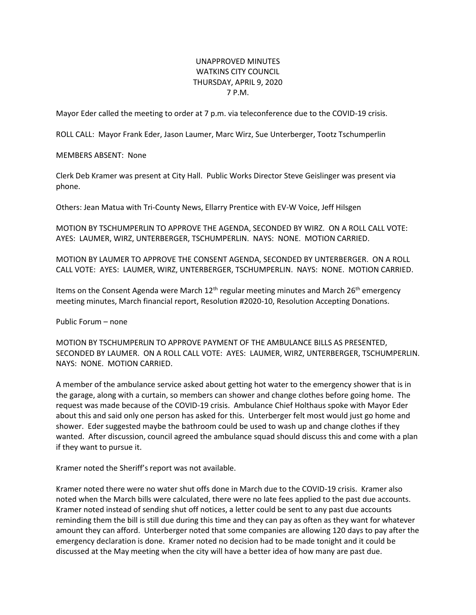## UNAPPROVED MINUTES WATKINS CITY COUNCIL THURSDAY, APRIL 9, 2020 7 P.M.

Mayor Eder called the meeting to order at 7 p.m. via teleconference due to the COVID-19 crisis.

ROLL CALL: Mayor Frank Eder, Jason Laumer, Marc Wirz, Sue Unterberger, Tootz Tschumperlin

MEMBERS ABSENT: None

Clerk Deb Kramer was present at City Hall. Public Works Director Steve Geislinger was present via phone.

Others: Jean Matua with Tri-County News, Ellarry Prentice with EV-W Voice, Jeff Hilsgen

MOTION BY TSCHUMPERLIN TO APPROVE THE AGENDA, SECONDED BY WIRZ. ON A ROLL CALL VOTE: AYES: LAUMER, WIRZ, UNTERBERGER, TSCHUMPERLIN. NAYS: NONE. MOTION CARRIED.

MOTION BY LAUMER TO APPROVE THE CONSENT AGENDA, SECONDED BY UNTERBERGER. ON A ROLL CALL VOTE: AYES: LAUMER, WIRZ, UNTERBERGER, TSCHUMPERLIN. NAYS: NONE. MOTION CARRIED.

Items on the Consent Agenda were March  $12<sup>th</sup>$  regular meeting minutes and March 26<sup>th</sup> emergency meeting minutes, March financial report, Resolution #2020-10, Resolution Accepting Donations.

Public Forum – none

MOTION BY TSCHUMPERLIN TO APPROVE PAYMENT OF THE AMBULANCE BILLS AS PRESENTED, SECONDED BY LAUMER. ON A ROLL CALL VOTE: AYES: LAUMER, WIRZ, UNTERBERGER, TSCHUMPERLIN. NAYS: NONE. MOTION CARRIED.

A member of the ambulance service asked about getting hot water to the emergency shower that is in the garage, along with a curtain, so members can shower and change clothes before going home. The request was made because of the COVID-19 crisis. Ambulance Chief Holthaus spoke with Mayor Eder about this and said only one person has asked for this. Unterberger felt most would just go home and shower. Eder suggested maybe the bathroom could be used to wash up and change clothes if they wanted. After discussion, council agreed the ambulance squad should discuss this and come with a plan if they want to pursue it.

Kramer noted the Sheriff's report was not available.

Kramer noted there were no water shut offs done in March due to the COVID-19 crisis. Kramer also noted when the March bills were calculated, there were no late fees applied to the past due accounts. Kramer noted instead of sending shut off notices, a letter could be sent to any past due accounts reminding them the bill is still due during this time and they can pay as often as they want for whatever amount they can afford. Unterberger noted that some companies are allowing 120 days to pay after the emergency declaration is done. Kramer noted no decision had to be made tonight and it could be discussed at the May meeting when the city will have a better idea of how many are past due.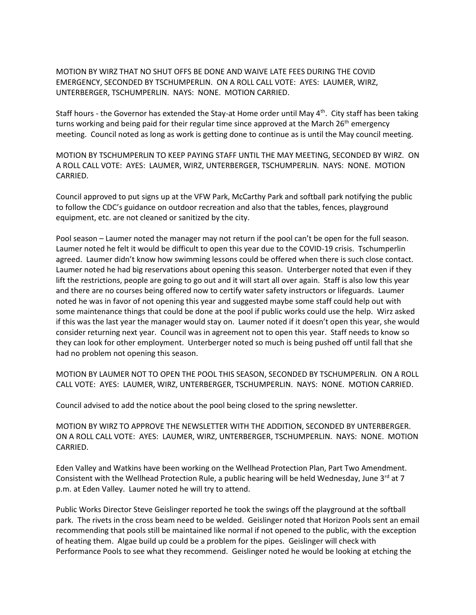MOTION BY WIRZ THAT NO SHUT OFFS BE DONE AND WAIVE LATE FEES DURING THE COVID EMERGENCY, SECONDED BY TSCHUMPERLIN. ON A ROLL CALL VOTE: AYES: LAUMER, WIRZ, UNTERBERGER, TSCHUMPERLIN. NAYS: NONE. MOTION CARRIED.

Staff hours - the Governor has extended the Stay-at Home order until May  $4<sup>th</sup>$ . City staff has been taking turns working and being paid for their regular time since approved at the March 26<sup>th</sup> emergency meeting. Council noted as long as work is getting done to continue as is until the May council meeting.

MOTION BY TSCHUMPERLIN TO KEEP PAYING STAFF UNTIL THE MAY MEETING, SECONDED BY WIRZ. ON A ROLL CALL VOTE: AYES: LAUMER, WIRZ, UNTERBERGER, TSCHUMPERLIN. NAYS: NONE. MOTION CARRIED.

Council approved to put signs up at the VFW Park, McCarthy Park and softball park notifying the public to follow the CDC's guidance on outdoor recreation and also that the tables, fences, playground equipment, etc. are not cleaned or sanitized by the city.

Pool season – Laumer noted the manager may not return if the pool can't be open for the full season. Laumer noted he felt it would be difficult to open this year due to the COVID-19 crisis. Tschumperlin agreed. Laumer didn't know how swimming lessons could be offered when there is such close contact. Laumer noted he had big reservations about opening this season. Unterberger noted that even if they lift the restrictions, people are going to go out and it will start all over again. Staff is also low this year and there are no courses being offered now to certify water safety instructors or lifeguards. Laumer noted he was in favor of not opening this year and suggested maybe some staff could help out with some maintenance things that could be done at the pool if public works could use the help. Wirz asked if this was the last year the manager would stay on. Laumer noted if it doesn't open this year, she would consider returning next year. Council was in agreement not to open this year. Staff needs to know so they can look for other employment. Unterberger noted so much is being pushed off until fall that she had no problem not opening this season.

MOTION BY LAUMER NOT TO OPEN THE POOL THIS SEASON, SECONDED BY TSCHUMPERLIN. ON A ROLL CALL VOTE: AYES: LAUMER, WIRZ, UNTERBERGER, TSCHUMPERLIN. NAYS: NONE. MOTION CARRIED.

Council advised to add the notice about the pool being closed to the spring newsletter.

MOTION BY WIRZ TO APPROVE THE NEWSLETTER WITH THE ADDITION, SECONDED BY UNTERBERGER. ON A ROLL CALL VOTE: AYES: LAUMER, WIRZ, UNTERBERGER, TSCHUMPERLIN. NAYS: NONE. MOTION CARRIED.

Eden Valley and Watkins have been working on the Wellhead Protection Plan, Part Two Amendment. Consistent with the Wellhead Protection Rule, a public hearing will be held Wednesday, June 3<sup>rd</sup> at 7 p.m. at Eden Valley. Laumer noted he will try to attend.

Public Works Director Steve Geislinger reported he took the swings off the playground at the softball park. The rivets in the cross beam need to be welded. Geislinger noted that Horizon Pools sent an email recommending that pools still be maintained like normal if not opened to the public, with the exception of heating them. Algae build up could be a problem for the pipes. Geislinger will check with Performance Pools to see what they recommend. Geislinger noted he would be looking at etching the